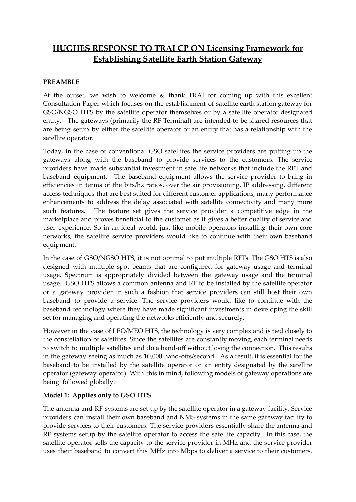# **HUGHES RESPONSE TO TRAI CP ON Licensing Framework for Establishing Satellite Earth Station Gateway**

### **PREAMBLE**

At the outset, we wish to welcome  $\&$  thank TRAI for coming up with this excellent Consultation Paper which focuses on the establishment of satellite earth station gateway for GSO/NGSO HTS by the satellite operator themselves or by a satellite operator designated entity. The gateways (primarily the RF Terminal) are intended to be shared resources that are being setup by either the satellite operator or an entity that has a relationship with the satellite operator.

Today, in the case of conventional GSO satellites the service providers are putting up the gateways along with the baseband to provide services to the customers. The service providers have made substantial investment in satellite networks that include the RFT and baseband equipment. The baseband equipment allows the service provider to bring in efficiencies in terms of the bits/hz ratios, over the air provisioning, IP addressing, different access techniques that are best suited for different customer applications, many performance enhancements to address the delay associated with satellite connectivity and many more such features. The feature set gives the service provider a competitive edge in the marketplace and proves beneficial to the customer as it gives a better quality of service and user experience. So in an ideal world, just like mobile operators installing their own core networks, the satellite service providers would like to continue with their own baseband equipment.

In the case of GSO/NGSO HTS, it is not optimal to put multiple RFTs. The GSO HTS is also designed with multiple spot beams that are configured for gateway usage and terminal usage. Spectrum is appropriately divided between the gateway usage and the terminal usage. GSO HTS allows a common antenna and RF to be installed by the satellite operator or a gateway provider in such a fashion that service providers can still host their own baseband to provide a service. The service providers would like to continue with the baseband technology where they have made significant investments in developing the skill set for managing and operating the networks efficiently and securely.

However in the case of LEO/MEO HTS, the technology is very complex and is tied closely to the constellation of satellites. Since the satellites are constantly moving, each terminal needs to switch to multiple satellites and do a hand-off without losing the connection. This results in the gateway seeing as much as 10,000 hand-offs/second. As a result, it is essential for the baseband to be installed by the satellite operator or an entity designated by the satellite operator (gateway operator). With this in mind, following models of gateway operations are being followed globally.

### **Model 1: Applies only to GSO HTS**

The antenna and RF systems are set up by the satellite operator in a gateway facility. Service providers can install their own baseband and NMS systems in the same gateway facility to provide services to their customers. The service providers essentially share the antenna and RF systems setup by the satellite operator to access the satellite capacity. In this case, the satellite operator sells the capacity to the service provider in MHz and the service provider uses their baseband to convert this MHz into Mbps to deliver a service to their customers.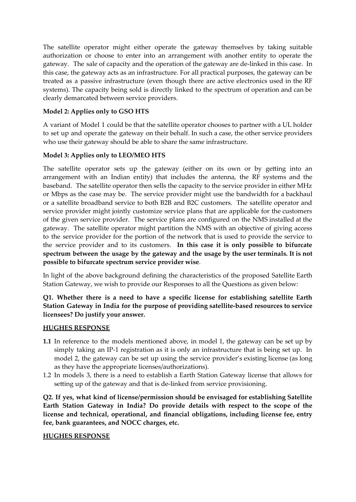The satellite operator might either operate the gateway themselves by taking suitable authorization or choose to enter into an arrangement with another entity to operate the gateway. The sale of capacity and the operation of the gateway are de-linked in this case. In this case, the gateway acts as an infrastructure. For all practical purposes, the gateway can be treated as a passive infrastructure (even though there are active electronics used in the RF systems). The capacity being sold is directly linked to the spectrum of operation and can be clearly demarcated between service providers.

# **Model 2: Applies only to GSO HTS**

A variant of Model 1 could be that the satellite operator chooses to partner with a UL holder to set up and operate the gateway on their behalf. In such a case, the other service providers who use their gateway should be able to share the same infrastructure.

# **Model 3: Applies only to LEO/MEO HTS**

The satellite operator sets up the gateway (either on its own or by getting into an arrangement with an Indian entity) that includes the antenna, the RF systems and the baseband. The satellite operator then sells the capacity to the service provider in either MHz or Mbps as the case may be. The service provider might use the bandwidth for a backhaul or a satellite broadband service to both B2B and B2C customers. The satellite operator and service provider might jointly customize service plans that are applicable for the customers of the given service provider. The service plans are configured on the NMS installed at the gateway. The satellite operator might partition the NMS with an objective of giving access to the service provider for the portion of the network that is used to provide the service to the service provider and to its customers. **In this case it is only possible to bifurcate spectrum between the usage by the gateway and the usage by the user terminals. It is not possible to bifurcate spectrum service provider wise**.

In light of the above background defining the characteristics of the proposed Satellite Earth Station Gateway, we wish to provide our Responses to all the Questions as given below:

**Q1. Whether there is a need to have a specific license for establishing satellite Earth Station Gateway in India for the purpose of providing satellite-based resources to service licensees? Do justify your answer.**

### **HUGHES RESPONSE**

- **1.1** In reference to the models mentioned above, in model 1, the gateway can be set up by simply taking an IP-1 registration as it is only an infrastructure that is being set up. In model 2, the gateway can be set up using the service provider's existing license (as long as they have the appropriate licenses/authorizations).
- 1.2 In models 3, there is a need to establish a Earth Station Gateway license that allows for setting up of the gateway and that is de-linked from service provisioning.

**Q2. If yes, what kind of license/permission should be envisaged for establishing Satellite Earth Station Gateway in India? Do provide details with respect to the scope of the license and technical, operational, and financial obligations, including license fee, entry fee, bank guarantees, and NOCC charges, etc.**

# **HUGHES RESPONSE**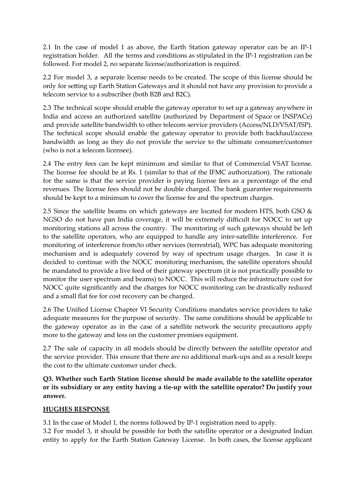2.1 In the case of model 1 as above, the Earth Station gateway operator can be an IP-1 registration holder. All the terms and conditions as stipulated in the IP-1 registration can be followed. For model 2, no separate license/authorization is required.

2.2 For model 3, a separate license needs to be created. The scope of this license should be only for setting up Earth Station Gateways and it should not have any provision to provide a telecom service to a subscriber (both B2B and B2C).

2.3 The technical scope should enable the gateway operator to set up a gateway anywhere in India and access an authorized satellite (authorized by Department of Space or INSPACe) and provide satellite bandwidth to other telecom service providers (Access/NLD/VSAT/ISP). The technical scope should enable the gateway operator to provide both backhaul/access bandwidth as long as they do not provide the service to the ultimate consumer/customer (who is not a telecom licensee).

2.4 The entry fees can be kept minimum and similar to that of Commercial VSAT license. The license fee should be at Rs. 1 (similar to that of the IFMC authorization). The rationale for the same is that the service provider is paying license fees as a percentage of the end revenues. The license fees should not be double charged. The bank guarantee requirements should be kept to a minimum to cover the license fee and the spectrum charges.

2.5 Since the satellite beams on which gateways are located for modern HTS, both GSO  $\&$ NGSO do not have pan India coverage, it will be extremely difficult for NOCC to set up monitoring stations all across the country. The monitoring of such gateways should be left to the satellite operators, who are equipped to handle any inter-satellite interference. For monitoring of interference from/to other services (terrestrial), WPC has adequate monitoring mechanism and is adequately covered by way of spectrum usage charges. In case it is decided to continue with the NOCC monitoring mechanism, the satellite operators should be mandated to provide a live feed of their gateway spectrum (it is not practically possible to monitor the user spectrum and beams) to NOCC. This will reduce the infrastructure cost for NOCC quite significantly and the charges for NOCC monitoring can be drastically reduced and a small flat fee for cost recovery can be charged.

2.6 The Unified License Chapter VI Security Conditions mandates service providers to take adequate measures for the purpose of security. The same conditions should be applicable to the gateway operator as in the case of a satellite network the security precautions apply more to the gateway and less on the customer premises equipment.

2.7 The sale of capacity in all models should be directly between the satellite operator and the service provider. This ensure that there are no additional mark-ups and as a result keeps the cost to the ultimate customer under check.

**Q3. Whether such Earth Station license should be made available to the satellite operator or its subsidiary or any entity having a tie-up with the satellite operator? Do justify your answer.**

### **HUGHES RESPONSE**

3.1 In the case of Model 1, the norms followed by IP-1 registration need to apply.

3.2 For model 3, it should be possible for both the satellite operator or a designated Indian entity to apply for the Earth Station Gateway License. In both cases, the license applicant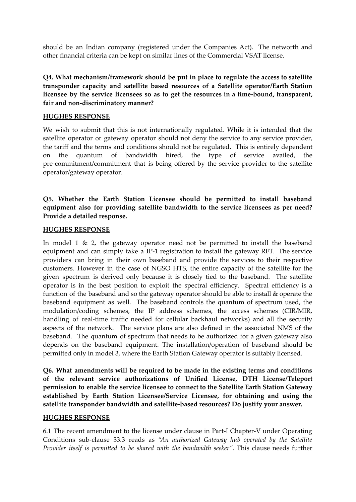should be an Indian company (registered under the Companies Act). The networth and other financial criteria can be kept on similar lines of the Commercial VSAT license.

**Q4. What mechanism/framework should be put in place to regulate the access to satellite transponder capacity and satellite based resources of a Satellite operator/Earth Station licensee by the service licensees so as to get the resources in a time-bound, transparent, fair and non-discriminatory manner?**

### **HUGHES RESPONSE**

We wish to submit that this is not internationally regulated. While it is intended that the satellite operator or gateway operator should not deny the service to any service provider, the tariff and the terms and conditions should not be regulated. This is entirely dependent on the quantum of bandwidth hired, the type of service availed, the pre-commitment/commitment that is being offered by the service provider to the satellite operator/gateway operator.

# **Q5. Whether the Earth Station Licensee should be permitted to install baseband equipment also for providing satellite bandwidth to the service licensees as per need? Provide a detailed response.**

#### **HUGHES RESPONSE**

In model 1  $\&$  2, the gateway operator need not be permitted to install the baseband equipment and can simply take a IP-1 registration to install the gateway RFT. The service providers can bring in their own baseband and provide the services to their respective customers. However in the case of NGSO HTS, the entire capacity of the satellite for the given spectrum is derived only because it is closely tied to the baseband. The satellite operator is in the best position to exploit the spectral efficiency. Spectral efficiency is a function of the baseband and so the gateway operator should be able to install & operate the baseband equipment as well. The baseband controls the quantum of spectrum used, the modulation/coding schemes, the IP address schemes, the access schemes (CIR/MIR, handling of real-time traffic needed for cellular backhaul networks) and all the security aspects of the network. The service plans are also defined in the associated NMS of the baseband. The quantum of spectrum that needs to be authorized for a given gateway also depends on the baseband equipment. The installation/operation of baseband should be permitted only in model 3, where the Earth Station Gateway operator is suitably licensed.

**Q6. What amendments will be required to be made in the existing terms and conditions of the relevant service authorizations of Unified License, DTH License/Teleport permission to enable the service licensee to connect to the Satellite Earth Station Gateway established by Earth Station Licensee/Service Licensee, for obtaining and using the satellite transponder bandwidth and satellite-based resources? Do justify your answer.**

#### **HUGHES RESPONSE**

6.1 The recent amendment to the license under clause in Part-I Chapter-V under Operating Conditions sub-clause 33.3 reads as *"An authorized Gateway hub operated by the Satellite Provider itself is permitted to be shared with the bandwidth seeker".* This clause needs further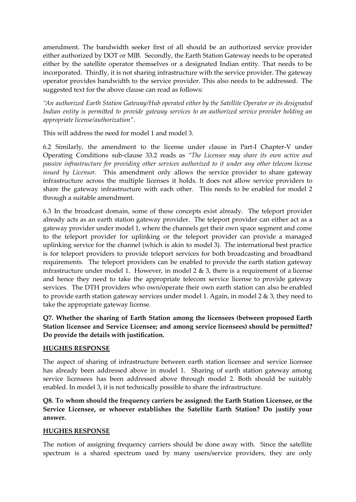amendment. The bandwidth seeker first of all should be an authorized service provider either authorized by DOT or MIB. Secondly, the Earth Station Gateway needs to be operated either by the satellite operator themselves or a designated Indian entity. That needs to be incorporated. Thirdly, it is not sharing infrastructure with the service provider. The gateway operator provides bandwidth to the service provider. This also needs to be addressed. The suggested text for the above clause can read as follows:

*"An authorized Earth Station Gateway/Hub operated either by the Satellite Operator or its designated Indian entity is permitted to provide gateway services to an authorized service provider holding an appropriate license/authorization".*

This will address the need for model 1 and model 3.

6.2 Similarly, the amendment to the license under clause in Part-I Chapter-V under Operating Conditions sub-clause 33.2 reads as *"The Licensee may share its own active and passive infrastructure for providing other services authorized to it under any other telecom license issued by Licensor.* This amendment only allows the service provider to share gateway infrastructure across the multiple licenses it holds. It does not allow service providers to share the gateway infrastructure with each other. This needs to be enabled for model 2 through a suitable amendment.

6.3 In the broadcast domain, some of these concepts exist already. The teleport provider already acts as an earth station gateway provider. The teleport provider can either act as a gateway provider under model 1, where the channels get their own space segment and come to the teleport provider for uplinking or the teleport provider can provide a managed uplinking service for the channel (which is akin to model 3). The international best practice is for teleport providers to provide teleport services for both broadcasting and broadband requirements. The teleport providers can be enabled to provide the earth station gateway infrastructure under model 1. However, in model 2 & 3, there is a requirement of a license and hence they need to take the appropriate telecom service license to provide gateway services. The DTH providers who own/operate their own earth station can also be enabled to provide earth station gateway services under model 1. Again, in model 2 & 3, they need to take the appropriate gateway license.

**Q7. Whether the sharing of Earth Station among the licensees (between proposed Earth Station licensee and Service Licensee; and among service licensees) should be permitted? Do provide the details with justification.**

### **HUGHES RESPONSE**

The aspect of sharing of infrastructure between earth station licensee and service licensee has already been addressed above in model 1. Sharing of earth station gateway among service licensees has been addressed above through model 2. Both should be suitably enabled. In model 3, it is not technically possible to share the infrastructure.

**Q8. To whom should the frequency carriers be assigned: the Earth Station Licensee, or the Service Licensee, or whoever establishes the Satellite Earth Station? Do justify your answer.**

### **HUGHES RESPONSE**

The notion of assigning frequency carriers should be done away with. Since the satellite spectrum is a shared spectrum used by many users/service providers, they are only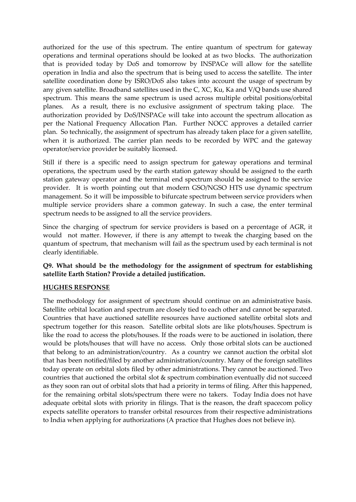authorized for the use of this spectrum. The entire quantum of spectrum for gateway operations and terminal operations should be looked at as two blocks. The authorization that is provided today by DoS and tomorrow by INSPACe will allow for the satellite operation in India and also the spectrum that is being used to access the satellite. The inter satellite coordination done by ISRO/DoS also takes into account the usage of spectrum by any given satellite. Broadband satellites used in the C, XC, Ku, Ka and V/Q bands use shared spectrum. This means the same spectrum is used across multiple orbital positions/orbital planes. As a result, there is no exclusive assignment of spectrum taking place. The authorization provided by DoS/INSPACe will take into account the spectrum allocation as per the National Frequency Allocation Plan. Further NOCC approves a detailed carrier plan. So technically, the assignment of spectrum has already taken place for a given satellite, when it is authorized. The carrier plan needs to be recorded by WPC and the gateway operator/service provider be suitably licensed.

Still if there is a specific need to assign spectrum for gateway operations and terminal operations, the spectrum used by the earth station gateway should be assigned to the earth station gateway operator and the terminal end spectrum should be assigned to the service provider. It is worth pointing out that modern GSO/NGSO HTS use dynamic spectrum management. So it will be impossible to bifurcate spectrum between service providers when multiple service providers share a common gateway. In such a case, the enter terminal spectrum needs to be assigned to all the service providers.

Since the charging of spectrum for service providers is based on a percentage of AGR, it would not matter. However, if there is any attempt to tweak the charging based on the quantum of spectrum, that mechanism will fail as the spectrum used by each terminal is not clearly identifiable.

# **Q9. What should be the methodology for the assignment of spectrum for establishing satellite Earth Station? Provide a detailed justification.**

### **HUGHES RESPONSE**

The methodology for assignment of spectrum should continue on an administrative basis. Satellite orbital location and spectrum are closely tied to each other and cannot be separated. Countries that have auctioned satellite resources have auctioned satellite orbital slots and spectrum together for this reason. Satellite orbital slots are like plots/houses. Spectrum is like the road to access the plots/houses. If the roads were to be auctioned in isolation, there would be plots/houses that will have no access. Only those orbital slots can be auctioned that belong to an administration/country. As a country we cannot auction the orbital slot that has been notified/filed by another administration/country. Many of the foreign satellites today operate on orbital slots filed by other administrations. They cannot be auctioned. Two countries that auctioned the orbital slot & spectrum combination eventually did not succeed as they soon ran out of orbital slots that had a priority in terms of filing. After this happened, for the remaining orbital slots/spectrum there were no takers. Today India does not have adequate orbital slots with priority in filings. That is the reason, the draft spacecom policy expects satellite operators to transfer orbital resources from their respective administrations to India when applying for authorizations (A practice that Hughes does not believe in).